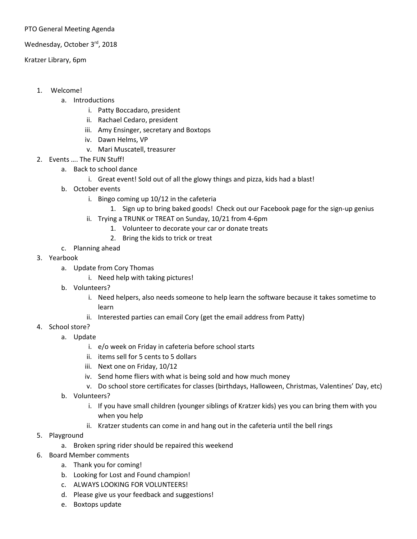## PTO General Meeting Agenda

## Wednesday, October 3rd, 2018

## Kratzer Library, 6pm

- 1. Welcome!
	- a. Introductions
		- i. Patty Boccadaro, president
		- ii. Rachael Cedaro, president
		- iii. Amy Ensinger, secretary and Boxtops
		- iv. Dawn Helms, VP
		- v. Mari Muscatell, treasurer
- 2. Events …. The FUN Stuff!
	- a. Back to school dance
		- i. Great event! Sold out of all the glowy things and pizza, kids had a blast!
	- b. October events
		- i. Bingo coming up 10/12 in the cafeteria
			- 1. Sign up to bring baked goods! Check out our Facebook page for the sign-up genius
		- ii. Trying a TRUNK or TREAT on Sunday, 10/21 from 4-6pm
			- 1. Volunteer to decorate your car or donate treats
			- 2. Bring the kids to trick or treat
	- c. Planning ahead
- 3. Yearbook
	- a. Update from Cory Thomas
		- i. Need help with taking pictures!
	- b. Volunteers?
		- i. Need helpers, also needs someone to help learn the software because it takes sometime to learn
		- ii. Interested parties can email Cory (get the email address from Patty)
- 4. School store?
	- a. Update
		- i. e/o week on Friday in cafeteria before school starts
		- ii. items sell for 5 cents to 5 dollars
		- iii. Next one on Friday, 10/12
		- iv. Send home fliers with what is being sold and how much money
		- v. Do school store certificates for classes (birthdays, Halloween, Christmas, Valentines' Day, etc)
	- b. Volunteers?
		- i. If you have small children (younger siblings of Kratzer kids) yes you can bring them with you when you help
		- ii. Kratzer students can come in and hang out in the cafeteria until the bell rings
- 5. Playground
	- a. Broken spring rider should be repaired this weekend
- 6. Board Member comments
	- a. Thank you for coming!
	- b. Looking for Lost and Found champion!
	- c. ALWAYS LOOKING FOR VOLUNTEERS!
	- d. Please give us your feedback and suggestions!
	- e. Boxtops update